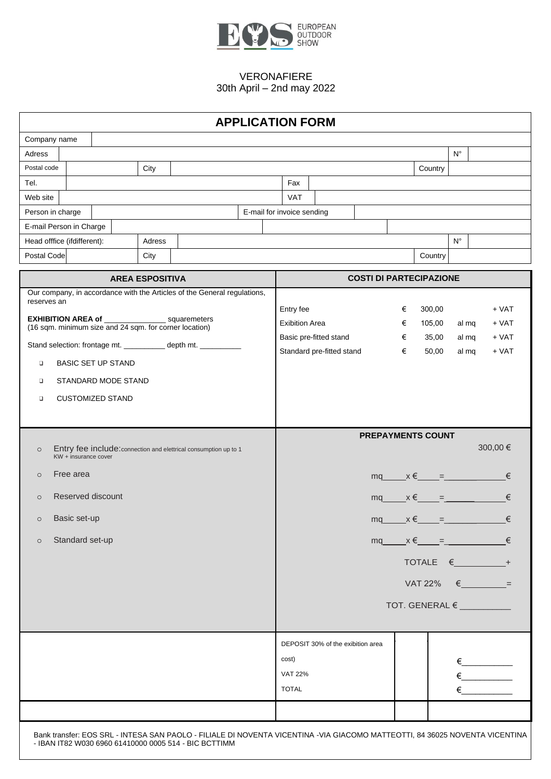

|                                                                |                                                                          |  |        |                                                                  |  | <b>APPLICATION FORM</b>    |                                                             |                                   |  |  |  |                                          |                    |       |              |  |  |
|----------------------------------------------------------------|--------------------------------------------------------------------------|--|--------|------------------------------------------------------------------|--|----------------------------|-------------------------------------------------------------|-----------------------------------|--|--|--|------------------------------------------|--------------------|-------|--------------|--|--|
| Company name                                                   |                                                                          |  |        |                                                                  |  |                            |                                                             |                                   |  |  |  |                                          |                    |       |              |  |  |
| Adress                                                         |                                                                          |  |        |                                                                  |  |                            |                                                             |                                   |  |  |  |                                          | $\mathsf{N}^\circ$ |       |              |  |  |
| Postal code                                                    |                                                                          |  | City   |                                                                  |  |                            |                                                             |                                   |  |  |  | Country                                  |                    |       |              |  |  |
| Tel.                                                           |                                                                          |  |        |                                                                  |  | Fax                        |                                                             |                                   |  |  |  |                                          |                    |       |              |  |  |
| Web site                                                       |                                                                          |  |        |                                                                  |  | VAT                        |                                                             |                                   |  |  |  |                                          |                    |       |              |  |  |
| Person in charge                                               |                                                                          |  |        |                                                                  |  | E-mail for invoice sending |                                                             |                                   |  |  |  |                                          |                    |       |              |  |  |
|                                                                | E-mail Person in Charge                                                  |  |        |                                                                  |  |                            |                                                             |                                   |  |  |  |                                          |                    |       |              |  |  |
|                                                                | Head offfice (ifdifferent):                                              |  | Adress |                                                                  |  |                            |                                                             |                                   |  |  |  |                                          | $N^{\circ}$        |       |              |  |  |
| Postal Code                                                    |                                                                          |  | City   |                                                                  |  |                            |                                                             |                                   |  |  |  | Country                                  |                    |       |              |  |  |
| <b>AREA ESPOSITIVA</b>                                         |                                                                          |  |        |                                                                  |  |                            |                                                             |                                   |  |  |  | <b>COSTI DI PARTECIPAZIONE</b>           |                    |       |              |  |  |
| reserves an                                                    | Our company, in accordance with the Articles of the General regulations, |  |        |                                                                  |  |                            |                                                             |                                   |  |  |  |                                          |                    |       |              |  |  |
| <b>EXHIBITION AREA of _______________</b> squaremeters         |                                                                          |  |        |                                                                  |  |                            | Entry fee<br>300,00<br>€                                    |                                   |  |  |  |                                          |                    |       | $+$ VAT      |  |  |
|                                                                | (16 sqm. minimum size and 24 sqm. for corner location)                   |  |        |                                                                  |  |                            | <b>Exibition Area</b><br>105,00<br>€                        |                                   |  |  |  |                                          |                    |       | $+ VAT$      |  |  |
| Stand selection: frontage mt. ___________ depth mt. __________ |                                                                          |  |        |                                                                  |  |                            | Basic pre-fitted stand<br>35,00<br>€                        |                                   |  |  |  |                                          |                    | al mq | $+ VAT$      |  |  |
| <b>BASIC SET UP STAND</b><br>$\Box$                            |                                                                          |  |        |                                                                  |  |                            | Standard pre-fitted stand<br>€<br>50,00<br>$+ VAT$<br>al mq |                                   |  |  |  |                                          |                    |       |              |  |  |
|                                                                |                                                                          |  |        |                                                                  |  |                            |                                                             |                                   |  |  |  |                                          |                    |       |              |  |  |
| $\Box$                                                         | STANDARD MODE STAND                                                      |  |        |                                                                  |  |                            |                                                             |                                   |  |  |  |                                          |                    |       |              |  |  |
| $\Box$                                                         | <b>CUSTOMIZED STAND</b>                                                  |  |        |                                                                  |  |                            |                                                             |                                   |  |  |  |                                          |                    |       |              |  |  |
|                                                                |                                                                          |  |        |                                                                  |  |                            |                                                             |                                   |  |  |  |                                          |                    |       |              |  |  |
|                                                                |                                                                          |  |        |                                                                  |  |                            |                                                             |                                   |  |  |  | <b>PREPAYMENTS COUNT</b>                 |                    |       |              |  |  |
| $\circ$                                                        | KW + insurance cover                                                     |  |        | Entry fee include: connection and elettrical consumption up to 1 |  |                            |                                                             |                                   |  |  |  |                                          |                    |       | 300,00 €     |  |  |
| $\circ$                                                        | Free area                                                                |  |        |                                                                  |  |                            |                                                             |                                   |  |  |  | $mq \qquad x \in \qquad = \qquad \qquad$ |                    |       | €            |  |  |
| $\circ$                                                        | Reserved discount                                                        |  |        |                                                                  |  |                            |                                                             |                                   |  |  |  | $mq$ $x \in$ $=$ $\frac{1}{2}$           |                    |       |              |  |  |
| $\circ$                                                        | Basic set-up                                                             |  |        |                                                                  |  |                            |                                                             |                                   |  |  |  | $mq$ $x \in$ $=$ $=$                     |                    |       | €            |  |  |
| $\circ$                                                        | Standard set-up                                                          |  |        |                                                                  |  |                            |                                                             |                                   |  |  |  | $mq \qquad x \in \qquad = \qquad \qquad$ |                    |       |              |  |  |
|                                                                |                                                                          |  |        |                                                                  |  |                            |                                                             |                                   |  |  |  | TOTALE $\epsilon$                        |                    |       |              |  |  |
|                                                                |                                                                          |  |        |                                                                  |  |                            |                                                             |                                   |  |  |  | <b>VAT 22%</b>                           |                    |       | $\epsilon$ = |  |  |
|                                                                |                                                                          |  |        |                                                                  |  |                            |                                                             |                                   |  |  |  | TOT. GENERAL €                           |                    |       |              |  |  |
|                                                                |                                                                          |  |        |                                                                  |  |                            |                                                             |                                   |  |  |  |                                          |                    |       |              |  |  |
|                                                                |                                                                          |  |        |                                                                  |  |                            |                                                             | DEPOSIT 30% of the exibition area |  |  |  |                                          |                    |       |              |  |  |
|                                                                |                                                                          |  |        |                                                                  |  | cost)                      |                                                             |                                   |  |  |  |                                          |                    |       |              |  |  |
|                                                                |                                                                          |  |        |                                                                  |  |                            |                                                             |                                   |  |  |  |                                          |                    |       |              |  |  |
|                                                                |                                                                          |  |        |                                                                  |  | <b>VAT 22%</b>             |                                                             |                                   |  |  |  |                                          |                    |       |              |  |  |
|                                                                |                                                                          |  |        |                                                                  |  | <b>TOTAL</b>               |                                                             |                                   |  |  |  |                                          |                    |       |              |  |  |
|                                                                |                                                                          |  |        |                                                                  |  |                            |                                                             |                                   |  |  |  |                                          |                    |       |              |  |  |
|                                                                |                                                                          |  |        |                                                                  |  |                            |                                                             |                                   |  |  |  |                                          |                    |       |              |  |  |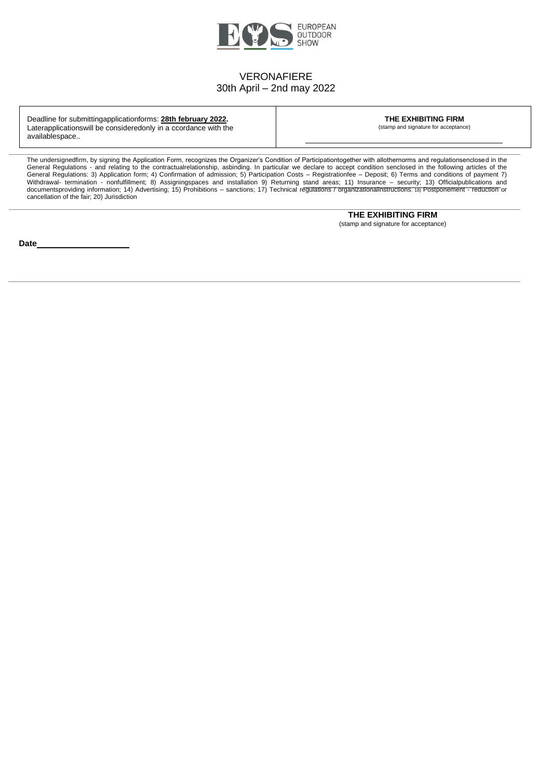

Deadline for submittingapplicationforms: **28th february 2022.** Laterapplicationswill be consideredonly in a ccordance with the availablespace..

**THE EXHIBITING FIRM** (stamp and signature for acceptance)

The undersignedfirm, by signing the Application Form, recognizes the Organizer's Condition of Participationtogether with allothernorms and regulationsenclosed in the General Regulations - and relating to the contractualrelationship, asbinding. In particular we declare to accept condition senclosed in the following articles of the General Regulations: 3) Application form; 4) Confirmation of admission; 5) Participation Costs – Registrationfee – Deposit; 6) Terms and conditions of payment 7) Withdrawal- termination - nonfulfillment; 8) Assigningspaces and installation 9) Returning stand areas; 11) Insurance – security; 13) Officialpublications and documentsproviding information; 14) Advertising; 15) Prohibitions – sanctions; 17) Technical regulations / organizationalinstructions; 18) Postponement - reduction or cancellation of the fair; 20) Jurisdiction

> **THE EXHIBITING FIRM** (stamp and signature for acceptance)

**Date**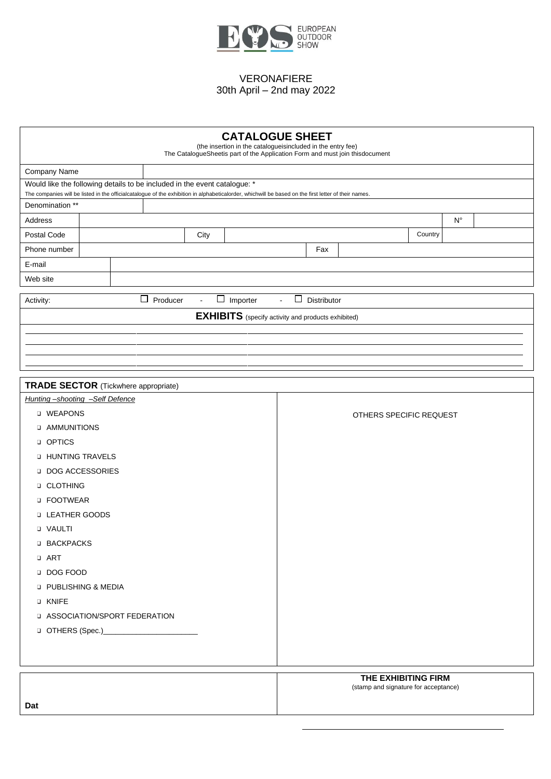

| <b>CATALOGUE SHEET</b><br>(the insertion in the catalogueisincluded in the entry fee)<br>The CatalogueSheetis part of the Application Form and must join thisdocument   |                                             |  |          |                             |  |                 |  |                           |   |                                                           |  |                                      |         |             |  |
|-------------------------------------------------------------------------------------------------------------------------------------------------------------------------|---------------------------------------------|--|----------|-----------------------------|--|-----------------|--|---------------------------|---|-----------------------------------------------------------|--|--------------------------------------|---------|-------------|--|
| Company Name                                                                                                                                                            |                                             |  |          |                             |  |                 |  |                           |   |                                                           |  |                                      |         |             |  |
| Would like the following details to be included in the event catalogue: *                                                                                               |                                             |  |          |                             |  |                 |  |                           |   |                                                           |  |                                      |         |             |  |
| The companies will be listed in the officialcatalogue of the exhibition in alphabeticalorder, whichwill be based on the first letter of their names.<br>Denomination ** |                                             |  |          |                             |  |                 |  |                           |   |                                                           |  |                                      |         |             |  |
| Address                                                                                                                                                                 |                                             |  |          |                             |  |                 |  |                           |   |                                                           |  |                                      |         | $N^{\circ}$ |  |
| Postal Code                                                                                                                                                             |                                             |  |          | City                        |  |                 |  |                           |   |                                                           |  |                                      | Country |             |  |
| Phone number                                                                                                                                                            |                                             |  |          |                             |  |                 |  |                           |   | Fax                                                       |  |                                      |         |             |  |
| E-mail                                                                                                                                                                  |                                             |  |          |                             |  |                 |  |                           |   |                                                           |  |                                      |         |             |  |
| Web site                                                                                                                                                                |                                             |  |          |                             |  |                 |  |                           |   |                                                           |  |                                      |         |             |  |
|                                                                                                                                                                         |                                             |  | $\Box$   |                             |  |                 |  |                           | □ |                                                           |  |                                      |         |             |  |
| Activity:                                                                                                                                                               |                                             |  | Producer | $\mathcal{L}_{\mathcal{A}}$ |  | $\Box$ Importer |  | $\mathbb{Z}^{\mathbb{Z}}$ |   | Distributor                                               |  |                                      |         |             |  |
|                                                                                                                                                                         |                                             |  |          |                             |  |                 |  |                           |   | <b>EXHIBITS</b> (specify activity and products exhibited) |  |                                      |         |             |  |
|                                                                                                                                                                         |                                             |  |          |                             |  |                 |  |                           |   |                                                           |  |                                      |         |             |  |
|                                                                                                                                                                         |                                             |  |          |                             |  |                 |  |                           |   |                                                           |  |                                      |         |             |  |
|                                                                                                                                                                         |                                             |  |          |                             |  |                 |  |                           |   |                                                           |  |                                      |         |             |  |
| <b>TRADE SECTOR</b> (Tickwhere appropriate)                                                                                                                             |                                             |  |          |                             |  |                 |  |                           |   |                                                           |  |                                      |         |             |  |
| Hunting-shooting -Self Defence                                                                                                                                          |                                             |  |          |                             |  |                 |  |                           |   |                                                           |  |                                      |         |             |  |
|                                                                                                                                                                         | <b>U WEAPONS</b><br>OTHERS SPECIFIC REQUEST |  |          |                             |  |                 |  |                           |   |                                                           |  |                                      |         |             |  |
|                                                                                                                                                                         | <b>AMMUNITIONS</b>                          |  |          |                             |  |                 |  |                           |   |                                                           |  |                                      |         |             |  |
| <b>D</b> OPTICS                                                                                                                                                         |                                             |  |          |                             |  |                 |  |                           |   |                                                           |  |                                      |         |             |  |
| <b>Q HUNTING TRAVELS</b>                                                                                                                                                |                                             |  |          |                             |  |                 |  |                           |   |                                                           |  |                                      |         |             |  |
| DOG ACCESSORIES                                                                                                                                                         |                                             |  |          |                             |  |                 |  |                           |   |                                                           |  |                                      |         |             |  |
| <b>Q CLOTHING</b>                                                                                                                                                       |                                             |  |          |                             |  |                 |  |                           |   |                                                           |  |                                      |         |             |  |
| <b>D</b> FOOTWEAR                                                                                                                                                       |                                             |  |          |                             |  |                 |  |                           |   |                                                           |  |                                      |         |             |  |
| <b>Q LEATHER GOODS</b>                                                                                                                                                  |                                             |  |          |                             |  |                 |  |                           |   |                                                           |  |                                      |         |             |  |
| <b>Q VAULTI</b>                                                                                                                                                         |                                             |  |          |                             |  |                 |  |                           |   |                                                           |  |                                      |         |             |  |
| <b>D BACKPACKS</b>                                                                                                                                                      |                                             |  |          |                             |  |                 |  |                           |   |                                                           |  |                                      |         |             |  |
| <b>Q</b> ART                                                                                                                                                            |                                             |  |          |                             |  |                 |  |                           |   |                                                           |  |                                      |         |             |  |
| DOG FOOD                                                                                                                                                                |                                             |  |          |                             |  |                 |  |                           |   |                                                           |  |                                      |         |             |  |
| <b>Q PUBLISHING &amp; MEDIA</b>                                                                                                                                         |                                             |  |          |                             |  |                 |  |                           |   |                                                           |  |                                      |         |             |  |
| <b>Q KNIFE</b>                                                                                                                                                          |                                             |  |          |                             |  |                 |  |                           |   |                                                           |  |                                      |         |             |  |
| <b>IN ASSOCIATION/SPORT FEDERATION</b>                                                                                                                                  |                                             |  |          |                             |  |                 |  |                           |   |                                                           |  |                                      |         |             |  |
|                                                                                                                                                                         |                                             |  |          |                             |  |                 |  |                           |   |                                                           |  |                                      |         |             |  |
|                                                                                                                                                                         |                                             |  |          |                             |  |                 |  |                           |   |                                                           |  |                                      |         |             |  |
|                                                                                                                                                                         |                                             |  |          |                             |  |                 |  |                           |   |                                                           |  |                                      |         |             |  |
|                                                                                                                                                                         |                                             |  |          |                             |  |                 |  |                           |   |                                                           |  | THE EXHIBITING FIRM                  |         |             |  |
|                                                                                                                                                                         |                                             |  |          |                             |  |                 |  |                           |   |                                                           |  | (stamp and signature for acceptance) |         |             |  |
| Dat                                                                                                                                                                     |                                             |  |          |                             |  |                 |  |                           |   |                                                           |  |                                      |         |             |  |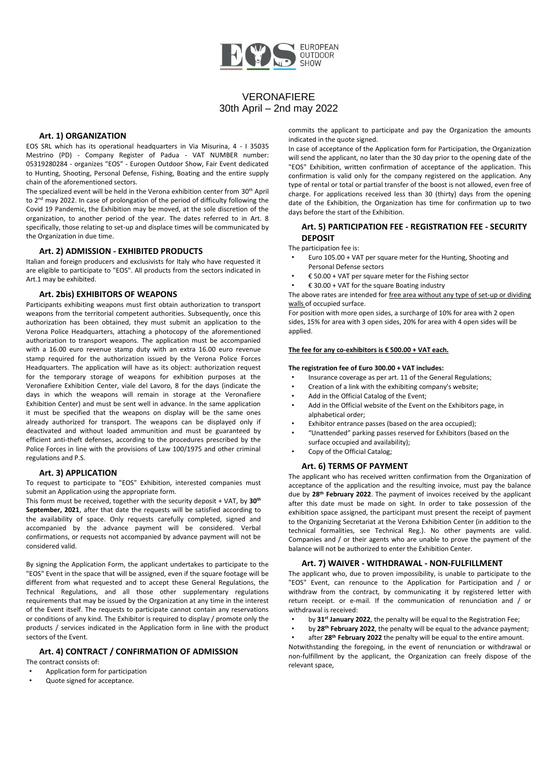

## **Art. 1) ORGANIZATION**

EOS SRL which has its operational headquarters in Via Misurina, 4 - I 35035 Mestrino (PD) - Company Register of Padua - VAT NUMBER number: 05319280284 - organizes "EOS" - Europen Outdoor Show, Fair Event dedicated to Hunting, Shooting, Personal Defense, Fishing, Boating and the entire supply chain of the aforementioned sectors.

The specialized event will be held in the Verona exhibition center from 30th April to 2nd may 2022. In case of prolongation of the period of difficulty following the Covid 19 Pandemic, the Exhibition may be moved, at the sole discretion of the organization, to another period of the year. The dates referred to in Art. 8 specifically, those relating to set-up and displace times will be communicated by the Organization in due time.

#### **Art. 2) ADMISSION - EXHIBITED PRODUCTS**

Italian and foreign producers and exclusivists for Italy who have requested it are eligible to participate to "EOS". All products from the sectors indicated in Art.1 may be exhibited.

# **Art. 2bis) EXHIBITORS OF WEAPONS**

Participants exhibiting weapons must first obtain authorization to transport weapons from the territorial competent authorities. Subsequently, once this authorization has been obtained, they must submit an application to the Verona Police Headquarters, attaching a photocopy of the aforementioned authorization to transport weapons. The application must be accompanied with a 16.00 euro revenue stamp duty with an extra 16.00 euro revenue stamp required for the authorization issued by the Verona Police Forces Headquarters. The application will have as its object: authorization request for the temporary storage of weapons for exhibition purposes at the Veronafiere Exhibition Center, viale del Lavoro, 8 for the days (indicate the days in which the weapons will remain in storage at the Veronafiere Exhibition Center) and must be sent well in advance. In the same application it must be specified that the weapons on display will be the same ones already authorized for transport. The weapons can be displayed only if deactivated and without loaded ammunition and must be guaranteed by efficient anti-theft defenses, according to the procedures prescribed by the Police Forces in line with the provisions of Law 100/1975 and other criminal regulations and P.S.

#### **Art. 3) APPLICATION**

To request to participate to "EOS" Exhibition, interested companies must submit an Application using the appropriate form.

This form must be received, together with the security deposit + VAT, by **30th September, 2021**, after that date the requests will be satisfied according to the availability of space. Only requests carefully completed, signed and accompanied by the advance payment will be considered. Verbal confirmations, or requests not accompanied by advance payment will not be considered valid.

By signing the Application Form, the applicant undertakes to participate to the "EOS" Event in the space that will be assigned, even if the square footage will be different from what requested and to accept these General Regulations, the Technical Regulations, and all those other supplementary regulations requirements that may be issued by the Organization at any time in the interest of the Event itself. The requests to participate cannot contain any reservations or conditions of any kind. The Exhibitor is required to display / promote only the products / services indicated in the Application form in line with the product sectors of the Event.

## **Art. 4) CONTRACT / CONFIRMATION OF ADMISSION**

The contract consists of:

- Application form for participation
- Quote signed for acceptance.

commits the applicant to participate and pay the Organization the amounts indicated in the quote signed.

In case of acceptance of the Application form for Participation, the Organization will send the applicant, no later than the 30 day prior to the opening date of the "EOS" Exhibition, written confirmation of acceptance of the application. This confirmation is valid only for the company registered on the application. Any type of rental or total or partial transfer of the boost is not allowed, even free of charge. For applications received less than 30 (thirty) days from the opening date of the Exhibition, the Organization has time for confirmation up to two days before the start of the Exhibition.

### **Art. 5) PARTICIPATION FEE - REGISTRATION FEE - SECURITY DEPOSIT**

The participation fee is:

- Euro 105.00 + VAT per square meter for the Hunting, Shooting and Personal Defense sectors
- $£ 50.00 + VAT$  per square meter for the Fishing sector
- € 30.00 + VAT for the square Boating industry

The above rates are intended for free area without any type of set-up or dividing walls of occupied surface.

For position with more open sides, a surcharge of 10% for area with 2 open sides, 15% for area with 3 open sides, 20% for area with 4 open sides will be applied.

#### **The fee for any co-exhibitors is € 500.00 + VAT each.**

#### **The registration fee of Euro 300.00 + VAT includes:**

- Insurance coverage as per art. 11 of the General Regulations;<br>Creation of a link with the oxhibiting company's website:
- Creation of a link with the exhibiting company's website;
- Add in the Official Catalog of the Event;
- Add in the Official website of the Event on the Exhibitors page, in alphabetical order;
- Exhibitor entrance passes (based on the area occupied);
- "Unattended" parking passes reserved for Exhibitors (based on the surface occupied and availability);
- Copy of the Official Catalog;

#### **Art. 6) TERMS OF PAYMENT**

The applicant who has received written confirmation from the Organization of acceptance of the application and the resulting invoice, must pay the balance due by **28th February 2022**. The payment of invoices received by the applicant after this date must be made on sight. In order to take possession of the exhibition space assigned, the participant must present the receipt of payment to the Organizing Secretariat at the Verona Exhibition Center (in addition to the technical formalities, see Technical Reg.). No other payments are valid. Companies and / or their agents who are unable to prove the payment of the balance will not be authorized to enter the Exhibition Center.

#### **Art. 7) WAIVER - WITHDRAWAL - NON-FULFILLMENT**

The applicant who, due to proven impossibility, is unable to participate to the "EOS" Event, can renounce to the Application for Participation and / or withdraw from the contract, by communicating it by registered letter with return receipt. or e-mail. If the communication of renunciation and / or withdrawal is received:

- by **31st January 2022**, the penalty will be equal to the Registration Fee;
- by **28th February 2022**, the penalty will be equal to the advance payment;
- after **28th February 2022** the penalty will be equal to the entire amount.

Notwithstanding the foregoing, in the event of renunciation or withdrawal or non-fulfillment by the applicant, the Organization can freely dispose of the relevant space,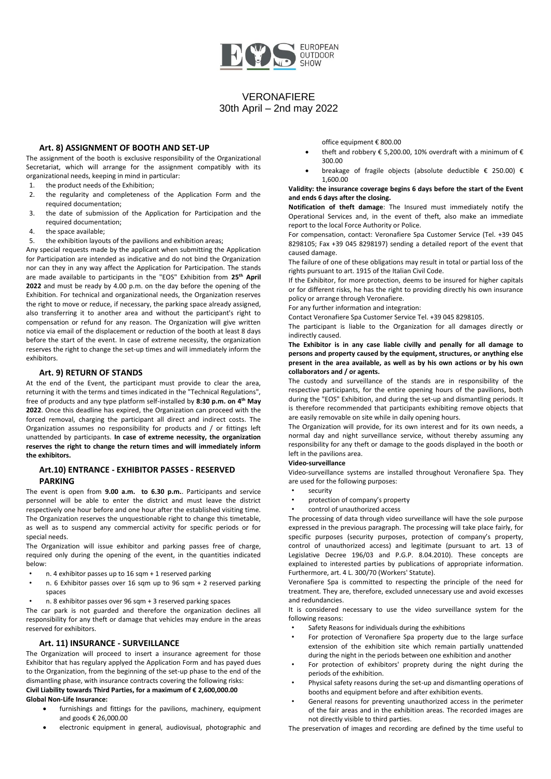

#### **Art. 8) ASSIGNMENT OF BOOTH AND SET-UP**

The assignment of the booth is exclusive responsibility of the Organizational Secretariat, which will arrange for the assignment compatibly with its organizational needs, keeping in mind in particular:

- 1. the product needs of the Exhibition;
- 2. the regularity and completeness of the Application Form and the required documentation;
- 3. the date of submission of the Application for Participation and the required documentation;
- 4. the space available;
- 5. the exhibition layouts of the pavilions and exhibition areas;

Any special requests made by the applicant when submitting the Application for Participation are intended as indicative and do not bind the Organization nor can they in any way affect the Application for Participation. The stands are made available to participants in the "EOS" Exhibition from **25th April 2022** and must be ready by 4.00 p.m. on the day before the opening of the Exhibition. For technical and organizational needs, the Organization reserves the right to move or reduce, if necessary, the parking space already assigned, also transferring it to another area and without the participant's right to compensation or refund for any reason. The Organization will give written notice via email of the displacement or reduction of the booth at least 8 days before the start of the event. In case of extreme necessity, the organization reserves the right to change the set-up times and will immediately inform the exhibitors.

#### **Art. 9) RETURN OF STANDS**

At the end of the Event, the participant must provide to clear the area, returning it with the terms and times indicated in the "Technical Regulations", free of products and any type platform self-installed by **8:30 p.m. on 4 th May 2022**. Once this deadline has expired, the Organization can proceed with the forced removal, charging the participant all direct and indirect costs. The Organization assumes no responsibility for products and / or fittings left unattended by participants. **In case of extreme necessity, the organization reserves the right to change the return times and will immediately inform the exhibitors.**

## **Art.10) ENTRANCE - EXHIBITOR PASSES - RESERVED PARKING**

The event is open from **9.00 a.m. to 6.30 p.m.**. Participants and service personnel will be able to enter the district and must leave the district respectively one hour before and one hour after the established visiting time. The Organization reserves the unquestionable right to change this timetable, as well as to suspend any commercial activity for specific periods or for special needs.

The Organization will issue exhibitor and parking passes free of charge, required only during the opening of the event, in the quantities indicated below:

- n. 4 exhibitor passes up to 16 sqm + 1 reserved parking
- n. 6 Exhibitor passes over 16 sqm up to 96 sqm + 2 reserved parking spaces
- n. 8 exhibitor passes over 96 sqm + 3 reserved parking spaces

The car park is not guarded and therefore the organization declines all responsibility for any theft or damage that vehicles may endure in the areas reserved for exhibitors.

### **Art. 11) INSURANCE - SURVEILLANCE**

The Organization will proceed to insert a insurance agreement for those Exhibitor that has regulary applyed the Application Form and has payed dues to the Organization, from the beginning of the set-up phase to the end of the dismantling phase, with insurance contracts covering the following risks: **Civil Liability towards Third Parties, for a maximum of € 2,600,000.00 Global Non-Life Insurance:**

- furnishings and fittings for the pavilions, machinery, equipment and goods € 26,000.00
- electronic equipment in general, audiovisual, photographic and

office equipment € 800.00

- theft and robbery  $\epsilon$  5,200.00, 10% overdraft with a minimum of  $\epsilon$ 300.00
- breakage of fragile objects (absolute deductible € 250.00) € 1,600.00

#### **Validity: the insurance coverage begins 6 days before the start of the Event and ends 6 days after the closing.**

**Notification of theft damage**: The Insured must immediately notify the Operational Services and, in the event of theft, also make an immediate report to the local Force Authority or Police.

For compensation, contact: Veronafiere Spa Customer Service (Tel. +39 045 8298105; Fax +39 045 8298197) sending a detailed report of the event that caused damage.

The failure of one of these obligations may result in total or partial loss of the rights pursuant to art. 1915 of the Italian Civil Code.

If the Exhibitor, for more protection, deems to be insured for higher capitals or for different risks, he has the right to providing directly his own insurance policy or arrange through Veronafiere.

For any further information and integration:

Contact Veronafiere Spa Customer Service Tel. +39 045 8298105.

The participant is liable to the Organization for all damages directly or indirectly caused.

**The Exhibitor is in any case liable civilly and penally for all damage to persons and property caused by the equipment, structures, or anything else present in the area available, as well as by his own actions or by his own collaborators and / or agents.**

The custody and surveillance of the stands are in responsibility of the respective participants, for the entire opening hours of the pavilions, both during the "EOS" Exhibition, and during the set-up and dismantling periods. It is therefore recommended that participants exhibiting remove objects that are easily removable on site while in daily opening hours.

The Organization will provide, for its own interest and for its own needs, a normal day and night surveillance service, without thereby assuming any responsibility for any theft or damage to the goods displayed in the booth or left in the pavilions area.

#### **Video-surveillance**

Video-surveillance systems are installed throughout Veronafiere Spa. They are used for the following purposes:

- security<br>• protective
- protection of company's property
- control of unauthorized access

The processing of data through video surveillance will have the sole purpose expressed in the previous paragraph. The processing will take place fairly, for specific purposes (security purposes, protection of company's property, control of unauthorized access) and legitimate (pursuant to art. 13 of Legislative Decree 196/03 and P.G.P. 8.04.2010). These concepts are explained to interested parties by publications of appropriate information. Furthermore, art. 4 L. 300/70 (Workers' Statute).

Veronafiere Spa is committed to respecting the principle of the need for treatment. They are, therefore, excluded unnecessary use and avoid excesses and redundancies.

It is considered necessary to use the video surveillance system for the following reasons:

- Safety Reasons for individuals during the exhibitions
- For protection of Veronafiere Spa property due to the large surface extension of the exhibition site which remain partially unattended during the night in the periods between one exhibition and another
- For protection of exhibitors' proprety during the night during the periods of the exhibition.
- Physical safety reasons during the set-up and dismantling operations of booths and equipment before and after exhibition events.
- General reasons for preventing unauthorized access in the perimeter of the fair areas and in the exhibition areas. The recorded images are not directly visible to third parties.
- The preservation of images and recording are defined by the time useful to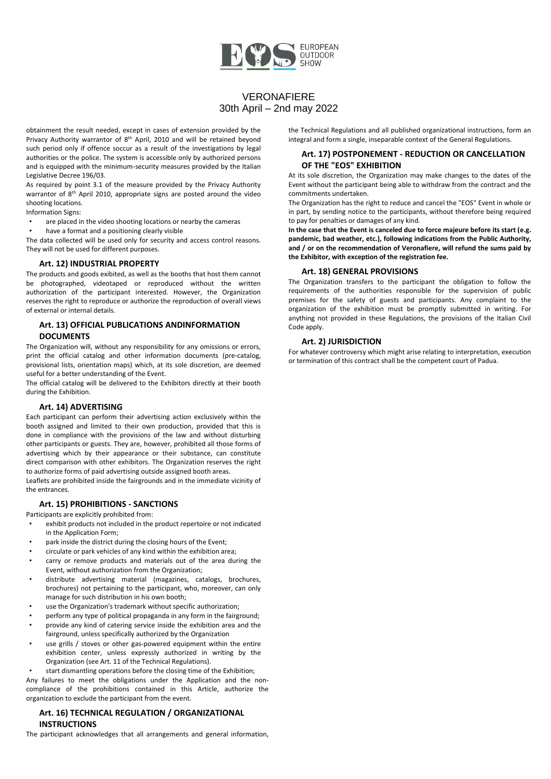

obtainment the result needed, except in cases of extension provided by the Privacy Authority warrantor of 8<sup>th</sup> April, 2010 and will be retained beyond such period only if offence soccur as a result of the investigations by legal authorities or the police. The system is accessible only by authorized persons and is equipped with the minimum-security measures provided by the Italian Legislative Decree 196/03.

As required by point 3.1 of the measure provided by the Privacy Authority warrantor of 8<sup>th</sup> April 2010, appropriate signs are posted around the video shooting locations.

Information Signs:

are placed in the video shooting locations or nearby the cameras

have a format and a positioning clearly visible

The data collected will be used only for security and access control reasons. They will not be used for different purposes.

#### **Art. 12) INDUSTRIAL PROPERTY**

The products and goods exibited, as well as the booths that host them cannot be photographed, videotaped or reproduced without the written authorization of the participant interested. However, the Organization reserves the right to reproduce or authorize the reproduction of overall views of external or internal details.

# **Art. 13) OFFICIAL PUBLICATIONS ANDINFORMATION DOCUMENTS**

The Organization will, without any responsibility for any omissions or errors, print the official catalog and other information documents (pre-catalog, provisional lists, orientation maps) which, at its sole discretion, are deemed useful for a better understanding of the Event.

The official catalog will be delivered to the Exhibitors directly at their booth during the Exhibition.

#### **Art. 14) ADVERTISING**

the entrances.

Each participant can perform their advertising action exclusively within the booth assigned and limited to their own production, provided that this is done in compliance with the provisions of the law and without disturbing other participants or guests. They are, however, prohibited all those forms of advertising which by their appearance or their substance, can constitute direct comparison with other exhibitors. The Organization reserves the right to authorize forms of paid advertising outside assigned booth areas. Leaflets are prohibited inside the fairgrounds and in the immediate vicinity of

**Art. 15) PROHIBITIONS - SANCTIONS**

Participants are explicitly prohibited from:

- exhibit products not included in the product repertoire or not indicated in the Application Form;
- park inside the district during the closing hours of the Event;
- circulate or park vehicles of any kind within the exhibition area;
- carry or remove products and materials out of the area during the Event, without authorization from the Organization;
- distribute advertising material (magazines, catalogs, brochures, brochures) not pertaining to the participant, who, moreover, can only manage for such distribution in his own booth;
- use the Organization's trademark without specific authorization;
- perform any type of political propaganda in any form in the fairground;
- provide any kind of catering service inside the exhibition area and the fairground, unless specifically authorized by the Organization
- use grills / stoves or other gas-powered equipment within the entire exhibition center, unless expressly authorized in writing by the Organization (see Art. 11 of the Technical Regulations).

start dismantling operations before the closing time of the Exhibition; Any failures to meet the obligations under the Application and the noncompliance of the prohibitions contained in this Article, authorize the organization to exclude the participant from the event.

# **Art. 16) TECHNICAL REGULATION / ORGANIZATIONAL INSTRUCTIONS**

The participant acknowledges that all arrangements and general information,

the Technical Regulations and all published organizational instructions, form an integral and form a single, inseparable context of the General Regulations.

# **Art. 17) POSTPONEMENT - REDUCTION OR CANCELLATION OF THE "EOS" EXHIBITION**

At its sole discretion, the Organization may make changes to the dates of the Event without the participant being able to withdraw from the contract and the commitments undertaken.

The Organization has the right to reduce and cancel the "EOS" Event in whole or in part, by sending notice to the participants, without therefore being required to pay for penalties or damages of any kind.

**In the case that the Event is canceled due to force majeure before its start (e.g. pandemic, bad weather, etc.), following indications from the Public Authority, and / or on the recommendation of Veronafiere, will refund the sums paid by the Exhibitor, with exception of the registration fee.**

### **Art. 18) GENERAL PROVISIONS**

The Organization transfers to the participant the obligation to follow the requirements of the authorities responsible for the supervision of public premises for the safety of guests and participants. Any complaint to the organization of the exhibition must be promptly submitted in writing. For anything not provided in these Regulations, the provisions of the Italian Civil Code apply.

### **Art. 2) JURISDICTION**

For whatever controversy which might arise relating to interpretation, execution or termination of this contract shall be the competent court of Padua.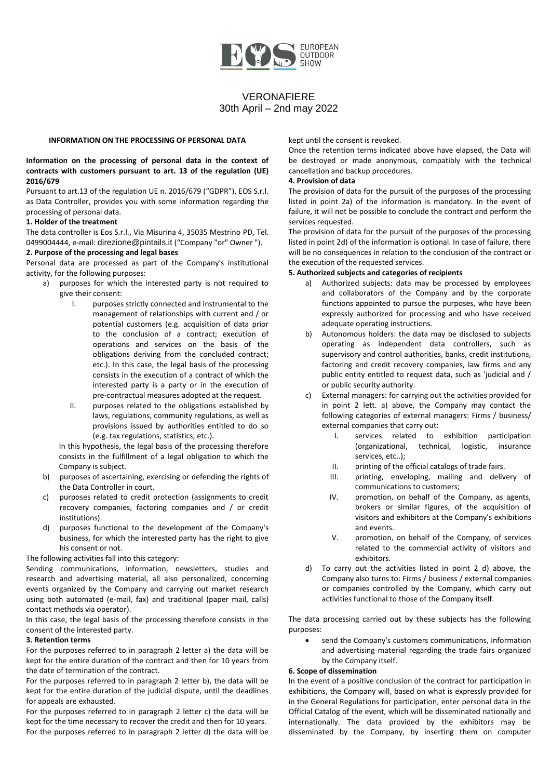

#### **INFORMATION ON THE PROCESSING OF PERSONAL DATA**

#### **Information on the processing of personal data in the context of contracts with customers pursuant to art. 13 of the regulation (UE) 2016/679**

Pursuant to art.13 of the regulation UE n. 2016/679 ("GDPR"), EOS S.r.l. as Data Controller, provides you with some information regarding the processing of personal data.

### **1. Holder of the treatment**

The data controller is Eos S.r.l., Via Misurina 4, 35035 Mestrino PD, Tel. 0499004444, e-mail: [direzione@pintails.it](mailto:direzione@pintails.it) ("Company "or" Owner ").

# **2. Purpose of the processing and legal bases**

Personal data are processed as part of the Company's institutional activity, for the following purposes:

- a) purposes for which the interested party is not required to give their consent:
	- I. purposes strictly connected and instrumental to the management of relationships with current and / or potential customers (e.g. acquisition of data prior to the conclusion of a contract; execution of operations and services on the basis of the obligations deriving from the concluded contract; etc.). In this case, the legal basis of the processing consists in the execution of a contract of which the interested party is a party or in the execution of pre-contractual measures adopted at the request.
	- II. purposes related to the obligations established by laws, regulations, community regulations, as well as provisions issued by authorities entitled to do so (e.g. tax regulations, statistics, etc.).

In this hypothesis, the legal basis of the processing therefore consists in the fulfillment of a legal obligation to which the Company is subject.

- b) purposes of ascertaining, exercising or defending the rights of the Data Controller in court.
- c) purposes related to credit protection (assignments to credit recovery companies, factoring companies and / or credit institutions).
- d) purposes functional to the development of the Company's business, for which the interested party has the right to give his consent or not.

The following activities fall into this category:

Sending communications, information, newsletters, studies and research and advertising material, all also personalized, concerning events organized by the Company and carrying out market research using both automated (e-mail, fax) and traditional (paper mail, calls) contact methods via operator).

In this case, the legal basis of the processing therefore consists in the consent of the interested party.

## **3. Retention terms**

For the purposes referred to in paragraph 2 letter a) the data will be kept for the entire duration of the contract and then for 10 years from the date of termination of the contract.

For the purposes referred to in paragraph 2 letter b), the data will be kept for the entire duration of the judicial dispute, until the deadlines for appeals are exhausted.

For the purposes referred to in paragraph 2 letter c) the data will be kept for the time necessary to recover the credit and then for 10 years. For the purposes referred to in paragraph 2 letter d) the data will be kept until the consent is revoked.

Once the retention terms indicated above have elapsed, the Data will be destroyed or made anonymous, compatibly with the technical cancellation and backup procedures.

### **4. Provision of data**

The provision of data for the pursuit of the purposes of the processing listed in point 2a) of the information is mandatory. In the event of failure, it will not be possible to conclude the contract and perform the services requested.

The provision of data for the pursuit of the purposes of the processing listed in point 2d) of the information is optional. In case of failure, there will be no consequences in relation to the conclusion of the contract or the execution of the requested services.

## **5. Authorized subjects and categories of recipients**

- a) Authorized subjects: data may be processed by employees and collaborators of the Company and by the corporate functions appointed to pursue the purposes, who have been expressly authorized for processing and who have received adequate operating instructions.
- b) Autonomous holders: the data may be disclosed to subjects operating as independent data controllers, such as supervisory and control authorities, banks, credit institutions, factoring and credit recovery companies, law firms and any public entity entitled to request data, such as 'judicial and / or public security authority.
- c) External managers: for carrying out the activities provided for in point 2 lett. a) above, the Company may contact the following categories of external managers: Firms / business/ external companies that carry out:
	- I. services related to exhibition participation (organizational, technical, logistic, insurance services, etc..);
	- II. printing of the official catalogs of trade fairs.
	- III. printing, enveloping, mailing and delivery of communications to customers;
	- IV. promotion, on behalf of the Company, as agents, brokers or similar figures, of the acquisition of visitors and exhibitors at the Company's exhibitions and events.
	- V. promotion, on behalf of the Company, of services related to the commercial activity of visitors and exhibitors.
- d) To carry out the activities listed in point 2 d) above, the Company also turns to: Firms / business / external companies or companies controlled by the Company, which carry out activities functional to those of the Company itself.

The data processing carried out by these subjects has the following purposes:

send the Company's customers communications, information and advertising material regarding the trade fairs organized by the Company itself.

## **6. Scope of dissemination**

In the event of a positive conclusion of the contract for participation in exhibitions, the Company will, based on what is expressly provided for in the General Regulations for participation, enter personal data in the Official Catalog of the event, which will be disseminated nationally and internationally. The data provided by the exhibitors may be disseminated by the Company, by inserting them on computer